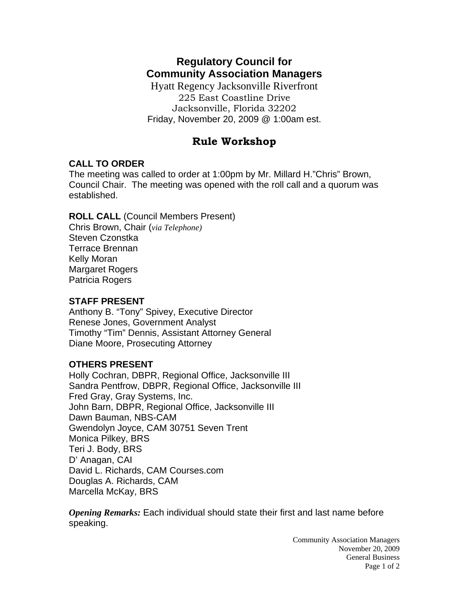# **Regulatory Council for Community Association Managers**

Hyatt Regency Jacksonville Riverfront 225 East Coastline Drive Jacksonville, Florida 32202 Friday, November 20, 2009 @ 1:00am est.

## **Rule Workshop**

## **CALL TO ORDER**

The meeting was called to order at 1:00pm by Mr. Millard H."Chris" Brown, Council Chair. The meeting was opened with the roll call and a quorum was established.

## **ROLL CALL** (Council Members Present)

Chris Brown, Chair (*via Telephone)* Steven Czonstka Terrace Brennan Kelly Moran Margaret Rogers Patricia Rogers

### **STAFF PRESENT**

Anthony B. "Tony" Spivey, Executive Director Renese Jones, Government Analyst Timothy "Tim" Dennis, Assistant Attorney General Diane Moore, Prosecuting Attorney

#### **OTHERS PRESENT**

Holly Cochran, DBPR, Regional Office, Jacksonville III Sandra Pentfrow, DBPR, Regional Office, Jacksonville III Fred Gray, Gray Systems, Inc. John Barn, DBPR, Regional Office, Jacksonville III Dawn Bauman, NBS-CAM Gwendolyn Joyce, CAM 30751 Seven Trent Monica Pilkey, BRS Teri J. Body, BRS D' Anagan, CAI David L. Richards, CAM Courses.com Douglas A. Richards, CAM Marcella McKay, BRS

*Opening Remarks:* Each individual should state their first and last name before speaking.

> Community Association Managers November 20, 2009 General Business Page 1 of 2